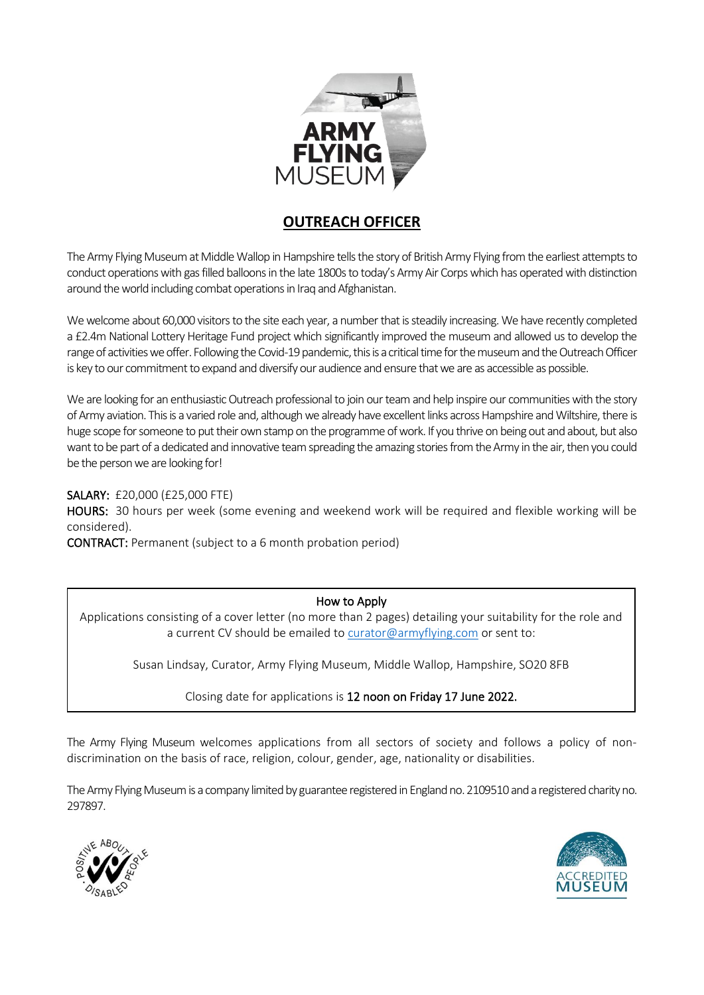

### **OUTREACH OFFICER**

The Army Flying Museum at Middle Wallop in Hampshire tells the story of British Army Flying from the earliest attempts to conduct operations with gas filled balloons in the late 1800s to today's Army Air Corps which has operated with distinction around the world including combat operations in Iraq and Afghanistan.

We welcome about 60,000 visitors to the site each year, a number that is steadily increasing. We have recently completed a £2.4m National Lottery Heritage Fund project which significantly improved the museum and allowed us to develop the range of activities we offer. Following the Covid-19 pandemic, this is a critical time for the museum and the Outreach Officer is key to our commitment to expand and diversify our audience and ensure that we are as accessible as possible.

We are looking for an enthusiastic Outreach professional to join our team and help inspire our communities with the story of Army aviation. This is a varied role and, although we already have excellent links across Hampshire and Wiltshire, there is huge scope for someone to put their own stamp on the programme of work. If you thrive on being out and about, but also want to be part of a dedicated and innovative team spreading the amazing stories from the Army in the air, then you could be the person we are looking for!

SALARY: £20,000 (£25,000 FTE)

HOURS: 30 hours per week (some evening and weekend work will be required and flexible working will be considered).

CONTRACT: Permanent (subject to a 6 month probation period)

### How to Apply

Applications consisting of a cover letter (no more than 2 pages) detailing your suitability for the role and a current CV should be emailed to [curator@armyflying.com](mailto:curator@armyflying.com) or sent to:

Susan Lindsay, Curator, Army Flying Museum, Middle Wallop, Hampshire, SO20 8FB

Closing date for applications is 12 noon on Friday 17 June 2022.

The Army Flying Museum welcomes applications from all sectors of society and follows a policy of nondiscrimination on the basis of race, religion, colour, gender, age, nationality or disabilities.

The Army Flying Museum is a company limited by guarantee registered in England no. 2109510 and a registered charity no. 297897.



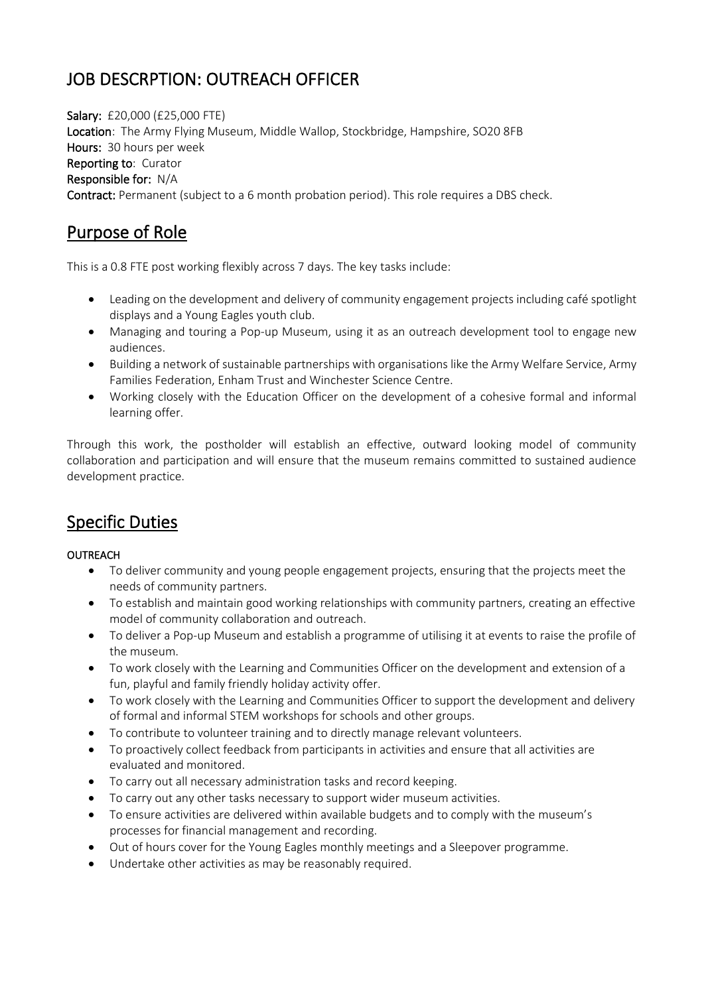# JOB DESCRPTION: OUTREACH OFFICER

Salary: £20,000 (£25,000 FTE) Location: The Army Flying Museum, Middle Wallop, Stockbridge, Hampshire, SO20 8FB Hours: 30 hours per week Reporting to: Curator Responsible for: N/A Contract: Permanent (subject to a 6 month probation period). This role requires a DBS check.

## Purpose of Role

This is a 0.8 FTE post working flexibly across 7 days. The key tasks include:

- Leading on the development and delivery of community engagement projects including café spotlight displays and a Young Eagles youth club.
- Managing and touring a Pop-up Museum, using it as an outreach development tool to engage new audiences.
- Building a network of sustainable partnerships with organisations like the Army Welfare Service, Army Families Federation, Enham Trust and Winchester Science Centre.
- Working closely with the Education Officer on the development of a cohesive formal and informal learning offer.

Through this work, the postholder will establish an effective, outward looking model of community collaboration and participation and will ensure that the museum remains committed to sustained audience development practice.

## Specific Duties

### OUTREACH

- To deliver community and young people engagement projects, ensuring that the projects meet the needs of community partners.
- To establish and maintain good working relationships with community partners, creating an effective model of community collaboration and outreach.
- To deliver a Pop-up Museum and establish a programme of utilising it at events to raise the profile of the museum.
- To work closely with the Learning and Communities Officer on the development and extension of a fun, playful and family friendly holiday activity offer.
- To work closely with the Learning and Communities Officer to support the development and delivery of formal and informal STEM workshops for schools and other groups.
- To contribute to volunteer training and to directly manage relevant volunteers.
- To proactively collect feedback from participants in activities and ensure that all activities are evaluated and monitored.
- To carry out all necessary administration tasks and record keeping.
- To carry out any other tasks necessary to support wider museum activities.
- To ensure activities are delivered within available budgets and to comply with the museum's processes for financial management and recording.
- Out of hours cover for the Young Eagles monthly meetings and a Sleepover programme.
- Undertake other activities as may be reasonably required.